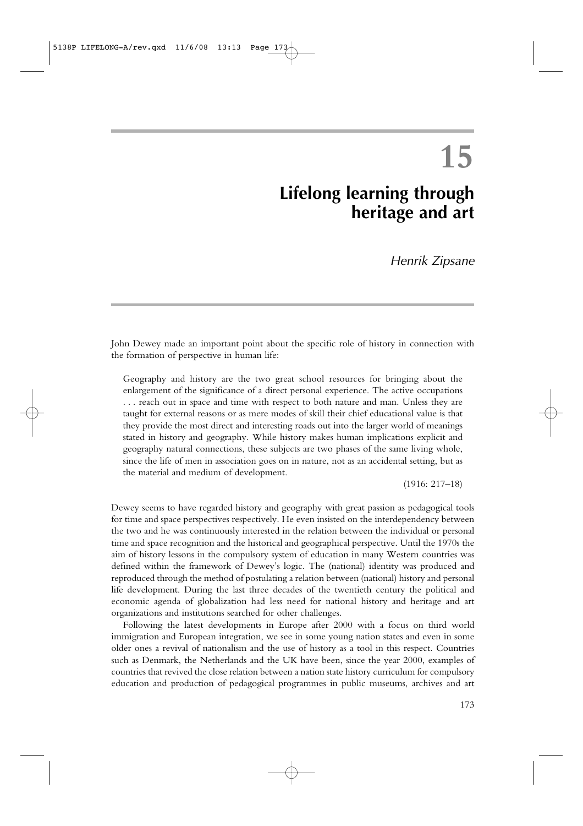# **15 Lifelong learning through heritage and art**

Henrik Zipsane

John Dewey made an important point about the specific role of history in connection with the formation of perspective in human life:

Geography and history are the two great school resources for bringing about the enlargement of the significance of a direct personal experience. The active occupations . . . reach out in space and time with respect to both nature and man. Unless they are taught for external reasons or as mere modes of skill their chief educational value is that they provide the most direct and interesting roads out into the larger world of meanings stated in history and geography. While history makes human implications explicit and geography natural connections, these subjects are two phases of the same living whole, since the life of men in association goes on in nature, not as an accidental setting, but as the material and medium of development.

(1916: 217–18)

Dewey seems to have regarded history and geography with great passion as pedagogical tools for time and space perspectives respectively. He even insisted on the interdependency between the two and he was continuously interested in the relation between the individual or personal time and space recognition and the historical and geographical perspective. Until the 1970s the aim of history lessons in the compulsory system of education in many Western countries was defined within the framework of Dewey's logic. The (national) identity was produced and reproduced through the method of postulating a relation between (national) history and personal life development. During the last three decades of the twentieth century the political and economic agenda of globalization had less need for national history and heritage and art organizations and institutions searched for other challenges.

Following the latest developments in Europe after 2000 with a focus on third world immigration and European integration, we see in some young nation states and even in some older ones a revival of nationalism and the use of history as a tool in this respect. Countries such as Denmark, the Netherlands and the UK have been, since the year 2000, examples of countries that revived the close relation between a nation state history curriculum for compulsory education and production of pedagogical programmes in public museums, archives and art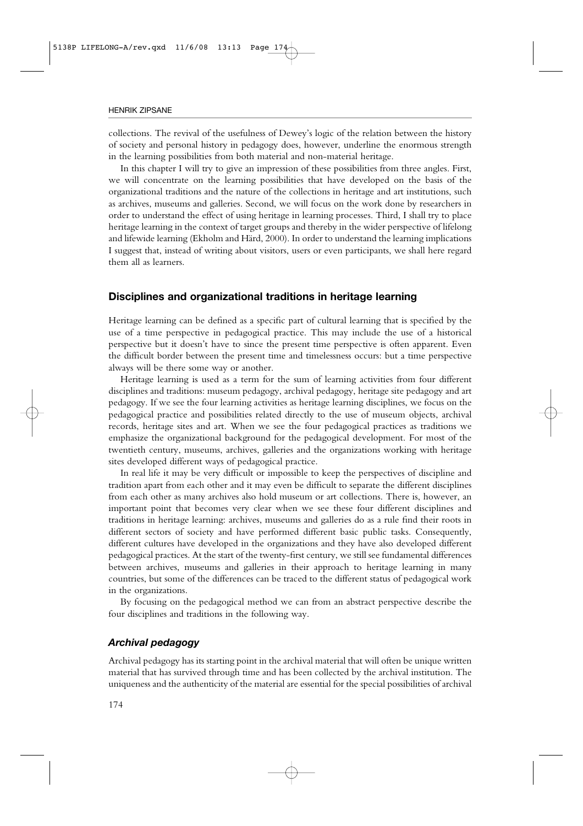collections. The revival of the usefulness of Dewey's logic of the relation between the history of society and personal history in pedagogy does, however, underline the enormous strength in the learning possibilities from both material and non-material heritage.

In this chapter I will try to give an impression of these possibilities from three angles. First, we will concentrate on the learning possibilities that have developed on the basis of the organizational traditions and the nature of the collections in heritage and art institutions, such as archives, museums and galleries. Second, we will focus on the work done by researchers in order to understand the effect of using heritage in learning processes. Third, I shall try to place heritage learning in the context of target groups and thereby in the wider perspective of lifelong and lifewide learning (Ekholm and Härd, 2000). In order to understand the learning implications I suggest that, instead of writing about visitors, users or even participants, we shall here regard them all as learners.

## **Disciplines and organizational traditions in heritage learning**

Heritage learning can be defined as a specific part of cultural learning that is specified by the use of a time perspective in pedagogical practice. This may include the use of a historical perspective but it doesn't have to since the present time perspective is often apparent. Even the difficult border between the present time and timelessness occurs: but a time perspective always will be there some way or another.

Heritage learning is used as a term for the sum of learning activities from four different disciplines and traditions: museum pedagogy, archival pedagogy, heritage site pedagogy and art pedagogy. If we see the four learning activities as heritage learning disciplines, we focus on the pedagogical practice and possibilities related directly to the use of museum objects, archival records, heritage sites and art. When we see the four pedagogical practices as traditions we emphasize the organizational background for the pedagogical development. For most of the twentieth century, museums, archives, galleries and the organizations working with heritage sites developed different ways of pedagogical practice.

In real life it may be very difficult or impossible to keep the perspectives of discipline and tradition apart from each other and it may even be difficult to separate the different disciplines from each other as many archives also hold museum or art collections. There is, however, an important point that becomes very clear when we see these four different disciplines and traditions in heritage learning: archives, museums and galleries do as a rule find their roots in different sectors of society and have performed different basic public tasks. Consequently, different cultures have developed in the organizations and they have also developed different pedagogical practices. At the start of the twenty-first century, we still see fundamental differences between archives, museums and galleries in their approach to heritage learning in many countries, but some of the differences can be traced to the different status of pedagogical work in the organizations.

By focusing on the pedagogical method we can from an abstract perspective describe the four disciplines and traditions in the following way.

## *Archival pedagogy*

Archival pedagogy has its starting point in the archival material that will often be unique written material that has survived through time and has been collected by the archival institution. The uniqueness and the authenticity of the material are essential for the special possibilities of archival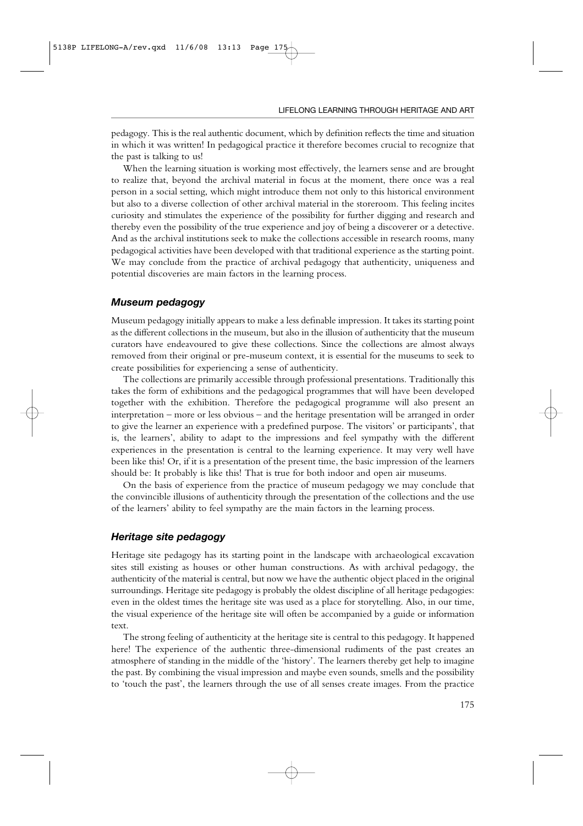pedagogy. This is the real authentic document, which by definition reflects the time and situation in which it was written! In pedagogical practice it therefore becomes crucial to recognize that the past is talking to us!

When the learning situation is working most effectively, the learners sense and are brought to realize that, beyond the archival material in focus at the moment, there once was a real person in a social setting, which might introduce them not only to this historical environment but also to a diverse collection of other archival material in the storeroom. This feeling incites curiosity and stimulates the experience of the possibility for further digging and research and thereby even the possibility of the true experience and joy of being a discoverer or a detective. And as the archival institutions seek to make the collections accessible in research rooms, many pedagogical activities have been developed with that traditional experience as the starting point. We may conclude from the practice of archival pedagogy that authenticity, uniqueness and potential discoveries are main factors in the learning process.

## *Museum pedagogy*

Museum pedagogy initially appears to make a less definable impression. It takes its starting point as the different collections in the museum, but also in the illusion of authenticity that the museum curators have endeavoured to give these collections. Since the collections are almost always removed from their original or pre-museum context, it is essential for the museums to seek to create possibilities for experiencing a sense of authenticity.

The collections are primarily accessible through professional presentations. Traditionally this takes the form of exhibitions and the pedagogical programmes that will have been developed together with the exhibition. Therefore the pedagogical programme will also present an interpretation – more or less obvious – and the heritage presentation will be arranged in order to give the learner an experience with a predefined purpose. The visitors' or participants', that is, the learners', ability to adapt to the impressions and feel sympathy with the different experiences in the presentation is central to the learning experience. It may very well have been like this! Or, if it is a presentation of the present time, the basic impression of the learners should be: It probably is like this! That is true for both indoor and open air museums.

On the basis of experience from the practice of museum pedagogy we may conclude that the convincible illusions of authenticity through the presentation of the collections and the use of the learners' ability to feel sympathy are the main factors in the learning process.

## *Heritage site pedagogy*

Heritage site pedagogy has its starting point in the landscape with archaeological excavation sites still existing as houses or other human constructions. As with archival pedagogy, the authenticity of the material is central, but now we have the authentic object placed in the original surroundings. Heritage site pedagogy is probably the oldest discipline of all heritage pedagogies: even in the oldest times the heritage site was used as a place for storytelling. Also, in our time, the visual experience of the heritage site will often be accompanied by a guide or information text.

The strong feeling of authenticity at the heritage site is central to this pedagogy. It happened here! The experience of the authentic three-dimensional rudiments of the past creates an atmosphere of standing in the middle of the 'history'. The learners thereby get help to imagine the past. By combining the visual impression and maybe even sounds, smells and the possibility to 'touch the past', the learners through the use of all senses create images. From the practice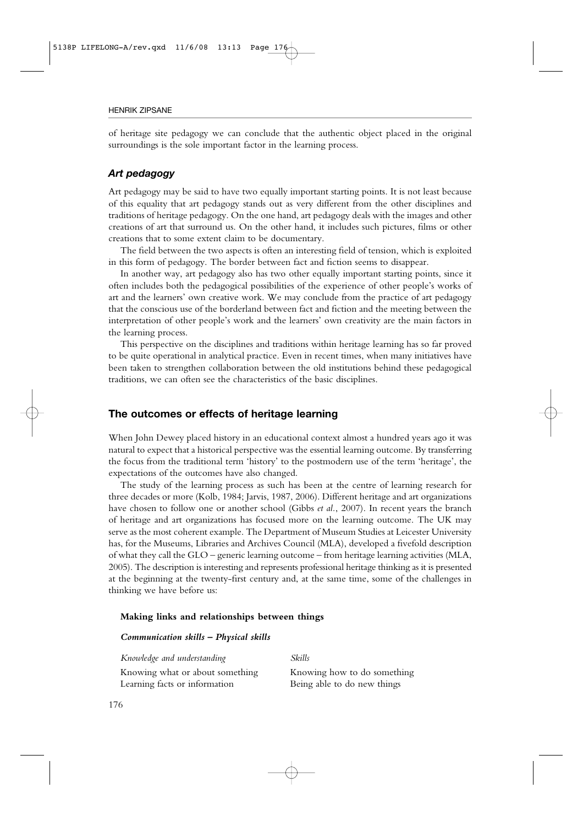of heritage site pedagogy we can conclude that the authentic object placed in the original surroundings is the sole important factor in the learning process.

## *Art pedagogy*

Art pedagogy may be said to have two equally important starting points. It is not least because of this equality that art pedagogy stands out as very different from the other disciplines and traditions of heritage pedagogy. On the one hand, art pedagogy deals with the images and other creations of art that surround us. On the other hand, it includes such pictures, films or other creations that to some extent claim to be documentary.

The field between the two aspects is often an interesting field of tension, which is exploited in this form of pedagogy. The border between fact and fiction seems to disappear.

In another way, art pedagogy also has two other equally important starting points, since it often includes both the pedagogical possibilities of the experience of other people's works of art and the learners' own creative work. We may conclude from the practice of art pedagogy that the conscious use of the borderland between fact and fiction and the meeting between the interpretation of other people's work and the learners' own creativity are the main factors in the learning process.

This perspective on the disciplines and traditions within heritage learning has so far proved to be quite operational in analytical practice. Even in recent times, when many initiatives have been taken to strengthen collaboration between the old institutions behind these pedagogical traditions, we can often see the characteristics of the basic disciplines.

## **The outcomes or effects of heritage learning**

When John Dewey placed history in an educational context almost a hundred years ago it was natural to expect that a historical perspective was the essential learning outcome. By transferring the focus from the traditional term 'history' to the postmodern use of the term 'heritage', the expectations of the outcomes have also changed.

The study of the learning process as such has been at the centre of learning research for three decades or more (Kolb, 1984; Jarvis, 1987, 2006). Different heritage and art organizations have chosen to follow one or another school (Gibbs *et al.*, 2007). In recent years the branch of heritage and art organizations has focused more on the learning outcome. The UK may serve as the most coherent example. The Department of Museum Studies at Leicester University has, for the Museums, Libraries and Archives Council (MLA), developed a fivefold description of what they call the GLO – generic learning outcome – from heritage learning activities (MLA, 2005). The description is interesting and represents professional heritage thinking as it is presented at the beginning at the twenty-first century and, at the same time, some of the challenges in thinking we have before us:

## **Making links and relationships between things**

## *Communication skills – Physical skills*

*Knowledge and understanding Skills* Knowing what or about something Knowing how to do something

Learning facts or information Being able to do new things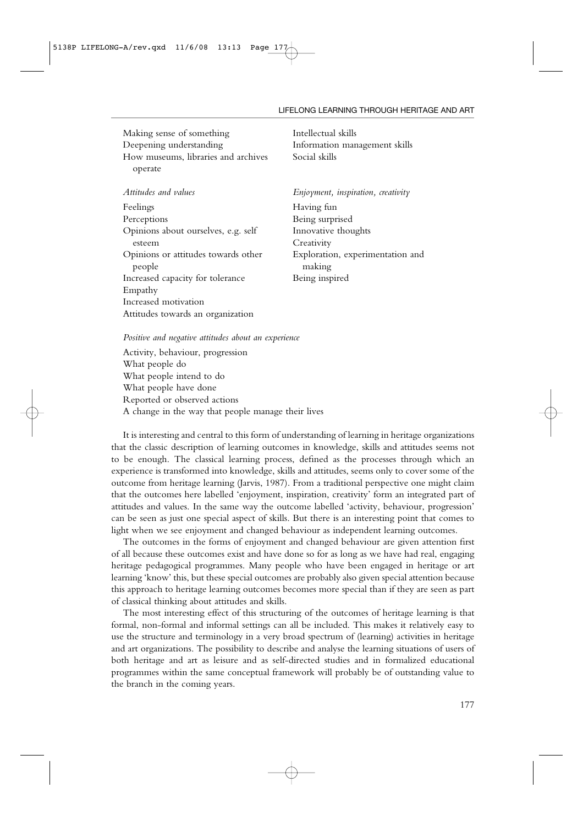Making sense of something Intellectual skills Deepening understanding **Information management skills** How museums, libraries and archives Social skills operate

Feelings Having fun Perceptions Being surprised Opinions about ourselves, e.g. self Innovative thoughts esteem Creativity Opinions or attitudes towards other Exploration, experimentation and people making Increased capacity for tolerance Being inspired Empathy Increased motivation Attitudes towards an organization

*Attitudes and values Enjoyment, inspiration, creativity*

*Positive and negative attitudes about an experience*

Activity, behaviour, progression What people do What people intend to do What people have done Reported or observed actions A change in the way that people manage their lives

It is interesting and central to this form of understanding of learning in heritage organizations that the classic description of learning outcomes in knowledge, skills and attitudes seems not to be enough. The classical learning process, defined as the processes through which an experience is transformed into knowledge, skills and attitudes, seems only to cover some of the outcome from heritage learning (Jarvis, 1987). From a traditional perspective one might claim that the outcomes here labelled 'enjoyment, inspiration, creativity' form an integrated part of attitudes and values. In the same way the outcome labelled 'activity, behaviour, progression' can be seen as just one special aspect of skills. But there is an interesting point that comes to light when we see enjoyment and changed behaviour as independent learning outcomes.

The outcomes in the forms of enjoyment and changed behaviour are given attention first of all because these outcomes exist and have done so for as long as we have had real, engaging heritage pedagogical programmes. Many people who have been engaged in heritage or art learning 'know' this, but these special outcomes are probably also given special attention because this approach to heritage learning outcomes becomes more special than if they are seen as part of classical thinking about attitudes and skills.

The most interesting effect of this structuring of the outcomes of heritage learning is that formal, non-formal and informal settings can all be included. This makes it relatively easy to use the structure and terminology in a very broad spectrum of (learning) activities in heritage and art organizations. The possibility to describe and analyse the learning situations of users of both heritage and art as leisure and as self-directed studies and in formalized educational programmes within the same conceptual framework will probably be of outstanding value to the branch in the coming years.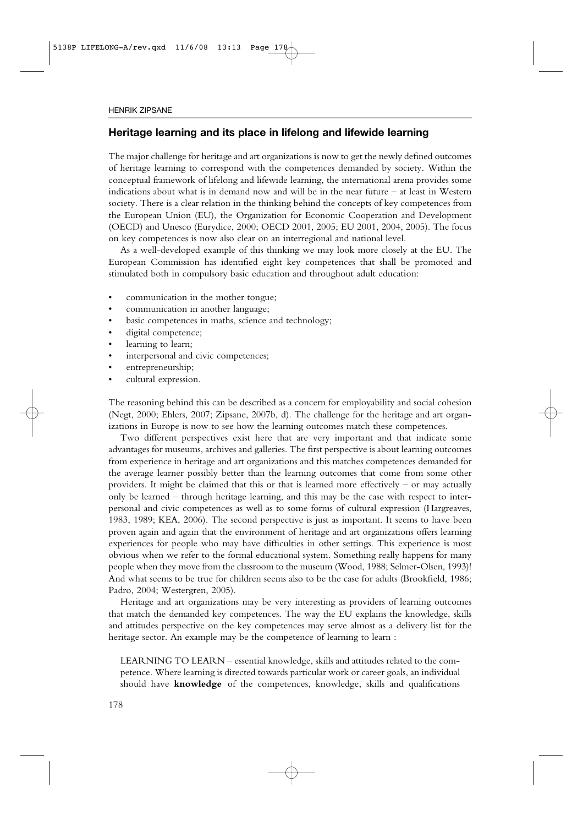# **Heritage learning and its place in lifelong and lifewide learning**

The major challenge for heritage and art organizations is now to get the newly defined outcomes of heritage learning to correspond with the competences demanded by society. Within the conceptual framework of lifelong and lifewide learning, the international arena provides some indications about what is in demand now and will be in the near future – at least in Western society. There is a clear relation in the thinking behind the concepts of key competences from the European Union (EU), the Organization for Economic Cooperation and Development (OECD) and Unesco (Eurydice, 2000; OECD 2001, 2005; EU 2001, 2004, 2005). The focus on key competences is now also clear on an interregional and national level.

As a well-developed example of this thinking we may look more closely at the EU. The European Commission has identified eight key competences that shall be promoted and stimulated both in compulsory basic education and throughout adult education:

- communication in the mother tongue;
- communication in another language;
- basic competences in maths, science and technology;
- digital competence;
- learning to learn;
- interpersonal and civic competences;
- entrepreneurship;
- cultural expression.

The reasoning behind this can be described as a concern for employability and social cohesion (Negt, 2000; Ehlers, 2007; Zipsane, 2007b, d). The challenge for the heritage and art organizations in Europe is now to see how the learning outcomes match these competences.

Two different perspectives exist here that are very important and that indicate some advantages for museums, archives and galleries. The first perspective is about learning outcomes from experience in heritage and art organizations and this matches competences demanded for the average learner possibly better than the learning outcomes that come from some other providers. It might be claimed that this or that is learned more effectively – or may actually only be learned – through heritage learning, and this may be the case with respect to interpersonal and civic competences as well as to some forms of cultural expression (Hargreaves, 1983, 1989; KEA, 2006). The second perspective is just as important. It seems to have been proven again and again that the environment of heritage and art organizations offers learning experiences for people who may have difficulties in other settings. This experience is most obvious when we refer to the formal educational system. Something really happens for many people when they move from the classroom to the museum (Wood, 1988; Selmer-Olsen, 1993)! And what seems to be true for children seems also to be the case for adults (Brookfield, 1986; Padro, 2004; Westergren, 2005).

Heritage and art organizations may be very interesting as providers of learning outcomes that match the demanded key competences. The way the EU explains the knowledge, skills and attitudes perspective on the key competences may serve almost as a delivery list for the heritage sector. An example may be the competence of learning to learn :

LEARNING TO LEARN – essential knowledge, skills and attitudes related to the competence. Where learning is directed towards particular work or career goals, an individual should have **knowledge** of the competences, knowledge, skills and qualifications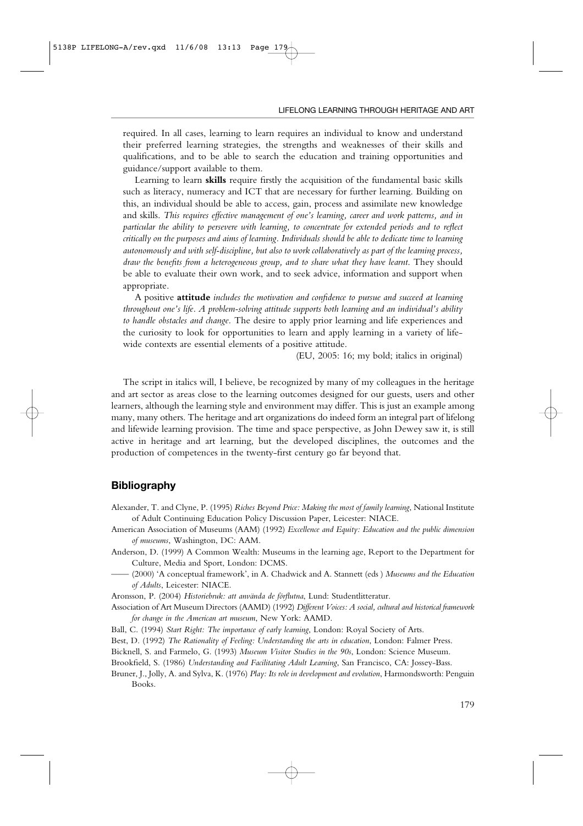required. In all cases, learning to learn requires an individual to know and understand their preferred learning strategies, the strengths and weaknesses of their skills and qualifications, and to be able to search the education and training opportunities and guidance/support available to them.

Learning to learn **skills** require firstly the acquisition of the fundamental basic skills such as literacy, numeracy and ICT that are necessary for further learning. Building on this, an individual should be able to access, gain, process and assimilate new knowledge and skills. *This requires effective management of one's learning, career and work patterns, and in particular the ability to persevere with learning, to concentrate for extended periods and to reflect critically on the purposes and aims of learning. Individuals should be able to dedicate time to learning autonomously and with self-discipline, but also to work collaboratively as part of the learning process, draw the benefits from a heterogeneous group, and to share what they have learnt*. They should be able to evaluate their own work, and to seek advice, information and support when appropriate.

A positive **attitude** *includes the motivation and confidence to pursue and succeed at learning throughout one's life. A problem-solving attitude supports both learning and an individual's ability to handle obstacles and change.* The desire to apply prior learning and life experiences and the curiosity to look for opportunities to learn and apply learning in a variety of lifewide contexts are essential elements of a positive attitude.

(EU, 2005: 16; my bold; italics in original)

The script in italics will, I believe, be recognized by many of my colleagues in the heritage and art sector as areas close to the learning outcomes designed for our guests, users and other learners, although the learning style and environment may differ. This is just an example among many, many others. The heritage and art organizations do indeed form an integral part of lifelong and lifewide learning provision. The time and space perspective, as John Dewey saw it, is still active in heritage and art learning, but the developed disciplines, the outcomes and the production of competences in the twenty-first century go far beyond that.

# **Bibliography**

- Alexander, T. and Clyne, P. (1995) *Riches Beyond Price: Making the most of family learning*, National Institute of Adult Continuing Education Policy Discussion Paper, Leicester: NIACE.
- American Association of Museums (AAM) (1992) *Excellence and Equity: Education and the public dimension of museums*, Washington, DC: AAM.
- Anderson, D. (1999) A Common Wealth: Museums in the learning age, Report to the Department for Culture, Media and Sport, London: DCMS.
- –––– (2000) 'A conceptual framework', in A. Chadwick and A. Stannett (eds ) *Museums and the Education of Adults*, Leicester: NIACE.

Aronsson, P. (2004) *Historiebruk: att använda de förflutna*, Lund: Studentlitteratur.

Association of Art Museum Directors (AAMD) (1992) *Different Voices: A social, cultural and historical framework for change in the American art museum*, New York: AAMD.

Ball, C. (1994) *Start Right: The importance of early learning*, London: Royal Society of Arts.

Best, D. (1992) *The Rationality of Feeling: Understanding the arts in education*, London: Falmer Press.

Bicknell, S. and Farmelo, G. (1993) *Museum Visitor Studies in the 90s*, London: Science Museum.

Brookfield, S. (1986) *Understanding and Facilitating Adult Learning*, San Francisco, CA: Jossey-Bass.

Bruner, J., Jolly, A. and Sylva, K. (1976) *Play: Its role in development and evolution*, Harmondsworth: Penguin Books.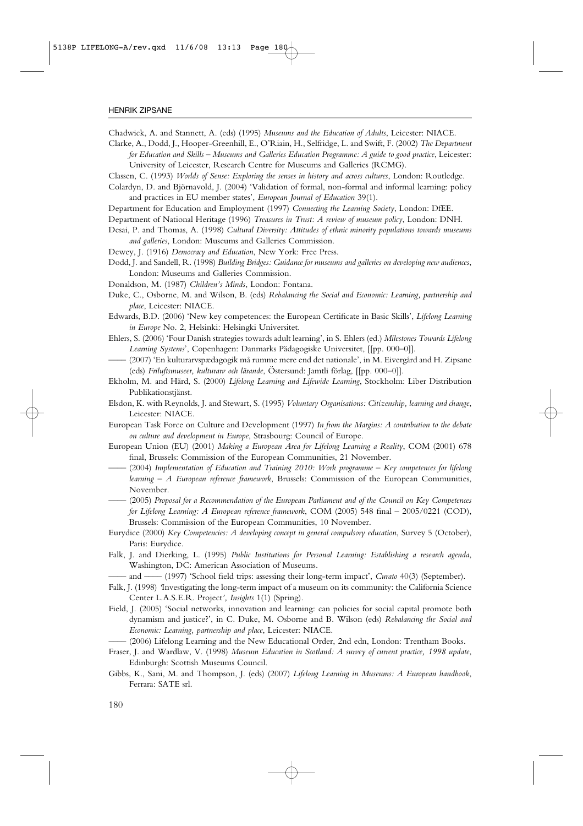Chadwick, A. and Stannett, A. (eds) (1995) *Museums and the Education of Adults*, Leicester: NIACE.

Clarke, A., Dodd, J., Hooper-Greenhill, E., O'Riain, H., Selfridge, L. and Swift, F. (2002) *The Department for Education and Skills – Museums and Galleries Education Programme: A guide to good practice*, Leicester: University of Leicester, Research Centre for Museums and Galleries (RCMG).

Classen, C. (1993) *Worlds of Sense: Exploring the senses in history and across cultures*, London: Routledge.

Colardyn, D. and Björnavold, J. (2004) 'Validation of formal, non-formal and informal learning: policy and practices in EU member states', *European Journal of Education* 39(1).

Department for Education and Employment (1997) *Connecting the Learning Society*, London: DfEE.

Department of National Heritage (1996) *Treasures in Trust: A review of museum policy*, London: DNH.

Desai, P. and Thomas, A. (1998) *Cultural Diversity: Attitudes of ethnic minority populations towards museums and galleries*, London: Museums and Galleries Commission.

Dewey, J. (1916) *Democracy and Education*, New York: Free Press.

Dodd, J. and Sandell, R. (1998) *Building Bridges: Guidance for museums and galleries on developing new audiences*, London: Museums and Galleries Commission.

Donaldson, M. (1987) *Children's Minds*, London: Fontana.

- Duke, C., Osborne, M. and Wilson, B. (eds) *Rebalancing the Social and Economic: Learning, partnership and place*, Leicester: NIACE.
- Edwards, B.D. (2006) 'New key competences: the European Certificate in Basic Skills', *Lifelong Learning in Europe* No. 2, Helsinki: Helsingki Universitet.
- Ehlers, S. (2006) 'Four Danish strategies towards adult learning', in S. Ehlers (ed.) *Milestones Towards Lifelong Learning Systems*', Copenhagen: Danmarks Pädagogiske Universitet, [[pp. 000–0]].

–––– (2007) 'En kulturarvspædagogik må rumme mere end det nationale', in M. Eivergård and H. Zipsane (eds) *Friluftsmuseer, kulturarv och lärande*, Östersund: Jamtli förlag, [[pp. 000–0]].

- Ekholm, M. and Härd, S. (2000) *Lifelong Learning and Lifewide Learning*, Stockholm: Liber Distribution Publikationstjänst.
- Elsdon, K. with Reynolds, J. and Stewart, S. (1995) *Voluntary Organisations: Citizenship, learning and change*, Leicester: NIACE.

European Task Force on Culture and Development (1997) *In from the Margins: A contribution to the debate on culture and development in Europe*, Strasbourg: Council of Europe.

- European Union (EU) (2001) *Making a European Area for Lifelong Learning a Reality*, COM (2001) 678 final, Brussels: Commission of the European Communities, 21 November.
- –––– (2004) *Implementation of Education and Training 2010: Work programme Key competences for lifelong learning – A European reference framework*, Brussels: Commission of the European Communities, November.
- –––– (2005) *Proposal for a Recommendation of the European Parliament and of the Council on Key Competences for Lifelong Learning: A European reference framework*, COM (2005) 548 final – 2005/0221 (COD), Brussels: Commission of the European Communities, 10 November.
- Eurydice (2000) *Key Competencies: A developing concept in general compulsory education*, Survey 5 (October), Paris: Eurydice.
- Falk, J. and Dierking, L. (1995) *Public Institutions for Personal Learning: Establishing a research agenda*, Washington, DC: American Association of Museums.
- –––– and –––– (1997) 'School field trips: assessing their long-term impact', *Curato* 40(3) (September).
- Falk, J. (1998) *'*Investigating the long-term impact of a museum on its community: the California Science Center L.A.S.E.R. Project*', Insights* 1(1) (Spring).
- Field, J. (2005) 'Social networks, innovation and learning: can policies for social capital promote both dynamism and justice?', in C. Duke, M. Osborne and B. Wilson (eds) *Rebalancing the Social and Economic: Learning, partnership and place*, Leicester: NIACE.

–––– (2006) Lifelong Learning and the New Educational Order, 2nd edn, London: Trentham Books.

- Fraser, J. and Wardlaw, V. (1998) *Museum Education in Scotland: A survey of current practice, 1998 update*, Edinburgh: Scottish Museums Council.
- Gibbs, K., Sani, M. and Thompson, J. (eds) (2007) *Lifelong Learning in Museums: A European handbook*, Ferrara: SATE srl.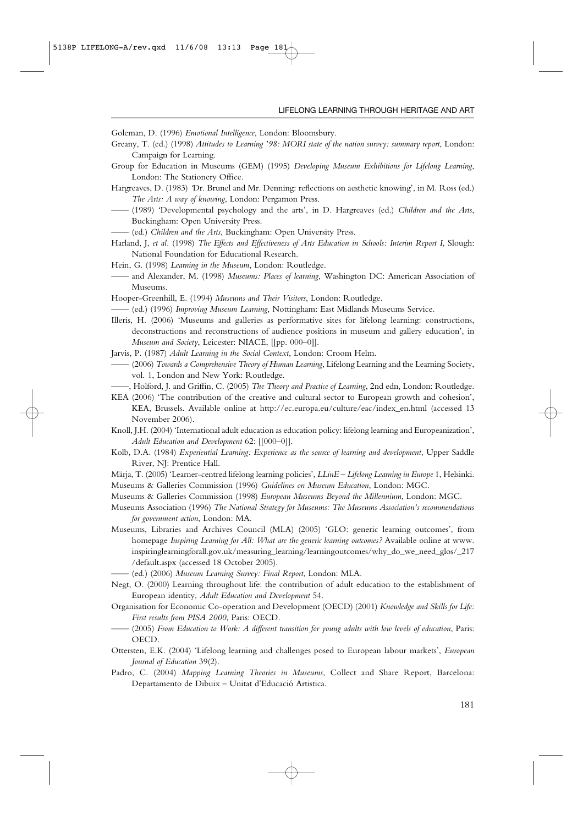Goleman, D. (1996) *Emotional Intelligence*, London: Bloomsbury.

- Greany, T. (ed.) (1998) *Attitudes to Learning '98: MORI state of the nation survey: summary report*, London: Campaign for Learning.
- Group for Education in Museums (GEM) (1995) *Developing Museum Exhibitions for Lifelong Learning*, London: The Stationery Office.
- Hargreaves, D. (1983) *'*Dr. Brunel and Mr. Denning: reflections on aesthetic knowing', in M. Ross (ed.) *The Arts: A way of knowing*, London: Pergamon Press.
- –––– (1989) 'Developmental psychology and the arts', in D. Hargreaves (ed.) *Children and the Arts*, Buckingham: Open University Press.

(ed.) *Children and the Arts*, Buckingham: Open University Press.

Harland, J, *et al.* (1998) *The Effects and Effectiveness of Arts Education in Schools: Interim Report I*, Slough: National Foundation for Educational Research.

Hein, G. (1998) *Learning in the Museum*, London: Routledge.

–––– and Alexander, M. (1998) *Museums: Places of learning*, Washington DC: American Association of Museums.

Hooper-Greenhill, E. (1994) *Museums and Their Visitors*, London: Routledge.

- –––– (ed.) (1996) *Improving Museum Learning*, Nottingham: East Midlands Museums Service.
- Illeris, H. (2006) 'Museums and galleries as performative sites for lifelong learning: constructions, deconstructions and reconstructions of audience positions in museum and gallery education', in *Museum and Society*, Leicester: NIACE, [[pp. 000–0]].
- Jarvis, P. (1987) *Adult Learning in the Social Context*, London: Croom Helm.
- –––– (2006) *Towards a Comprehensive Theory of Human Learning*, Lifelong Learning and the Learning Society, vol. 1, London and New York: Routledge.
- ——, Holford, J. and Griffin, C. (2005) *The Theory and Practice of Learning*, 2nd edn, London: Routledge.
- KEA (2006) 'The contribution of the creative and cultural sector to European growth and cohesion', KEA, Brussels. Available online at http://ec.europa.eu/culture/eac/index\_en.html (accessed 13 November 2006).
- Knoll, J.H. (2004) 'International adult education as education policy: lifelong learning and Europeanization', *Adult Education and Development* 62: [[000–0]].
- Kolb, D.A. (1984) *Experiential Learning: Experience as the source of learning and development*, Upper Saddle River, NJ: Prentice Hall.

Märja, T. (2005) 'Learner-centred lifelong learning policies', *LLinE – Lifelong Learning in Europe* 1, Helsinki.

- Museums & Galleries Commission (1996) *Guidelines on Museum Education*, London: MGC.
- Museums & Galleries Commission (1998) *European Museums Beyond the Millennium*, London: MGC.
- Museums Association (1996) *The National Strategy for Museums: The Museums Association's recommendations for government action*, London: MA.
- Museums, Libraries and Archives Council (MLA) (2005) 'GLO: generic learning outcomes', from homepage *Inspiring Learning for All: What are the generic learning outcomes?* Available online at www. inspiringlearningforall.gov.uk/measuring\_learning/learningoutcomes/why\_do\_we\_need\_glos/\_217 /default.aspx (accessed 18 October 2005).

–––– (ed.) (2006) *Museum Learning Survey: Final Report*, London: MLA.

- Negt, O. (2000) Learning throughout life: the contribution of adult education to the establishment of European identity, *Adult Education and Development* 54.
- Organisation for Economic Co-operation and Development (OECD) (2001) *Knowledge and Skills for Life: First results from PISA 2000*, Paris: OECD.
- –––– (2005) *From Education to Work: A different transition for young adults with low levels of education*, Paris: OECD.
- Ottersten, E.K. (2004) 'Lifelong learning and challenges posed to European labour markets', *European Journal of Education* 39(2).
- Padro, C. (2004) *Mapping Learning Theories in Museums*, Collect and Share Report, Barcelona: Departamento de Dibuix – Unitat d'Educació Artistica.